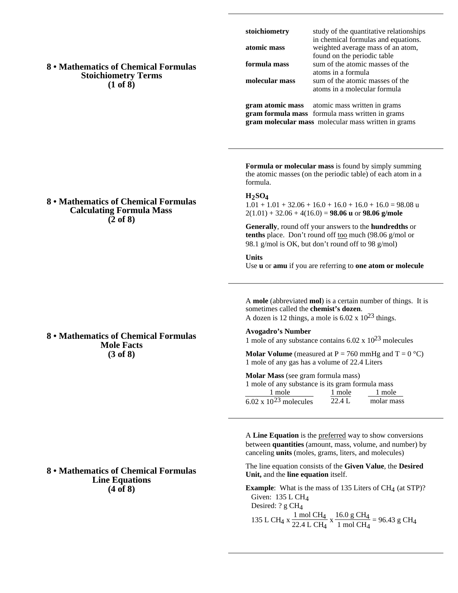# **8 • Mathematics of Chemical Formulas Stoichiometry Terms (1 of 8)**

**8 • Mathematics of Chemical Formulas Calculating Formula Mass (2 of 8)**

| stoichiometry           | study of the quantitative relationships                                  |
|-------------------------|--------------------------------------------------------------------------|
| atomic mass             | in chemical formulas and equations.<br>weighted average mass of an atom, |
|                         | found on the periodic table                                              |
| formula mass            | sum of the atomic masses of the                                          |
|                         | atoms in a formula                                                       |
| molecular mass          | sum of the atomic masses of the                                          |
|                         | atoms in a molecular formula                                             |
| <b>Grom ofomic moss</b> | otomic moss written in grome                                             |

**gram atomic mass** atomic mass written in grams **gram formula mass** formula mass written in grams **gram molecular mass** molecular mass written in grams

**Formula or molecular mass** is found by simply summing the atomic masses (on the periodic table) of each atom in a formula.

#### **H2SO4**

 $1.01 + 1.01 + 32.06 + 16.0 + 16.0 + 16.0 + 16.0 = 98.08$ u 2(1.01) + 32.06 + 4(16.0) = **98.06 u** or **98.06 g/mole**

**Generally**, round off your answers to the **hundredths** or tenths place. Don't round off too much (98.06 g/mol or 98.1 g/mol is OK, but don't round off to 98 g/mol)

**Units** Use **u** or **amu** if you are referring to **one atom or molecule**

A **mole** (abbreviated **mol**) is a certain number of things. It is sometimes called the **chemist's dozen**. A dozen is 12 things, a mole is  $6.02 \times 10^{23}$  things.

**Avogadro's Number**

1 mole of any substance contains  $6.02 \times 10^{23}$  molecules

**Molar Volume** (measured at  $P = 760$  mmHg and  $T = 0$  °C) 1 mole of any gas has a volume of 22.4 Liters

**Molar Mass** (see gram formula mass)

| 1 mole of any substance is its gram formula mass |        |            |
|--------------------------------------------------|--------|------------|
| 1 mole                                           | 1 mole | 1 mole     |
| 6.02 x $10^{23}$ molecules                       | 22.4 L | molar mass |

A **Line Equation** is the preferred way to show conversions between **quantities** (amount, mass, volume, and number) by canceling **units** (moles, grams, liters, and molecules)

The line equation consists of the **Given Value**, the **Desired Unit,** and the **line equation** itself.

**Example**: What is the mass of 135 Liters of CH<sub>4</sub> (at STP)? Given: 135 L CH4 Desired: ? g CH<sub>4</sub> 135 L CH<sub>4</sub> x  $\frac{1 \text{ mol } CH_4}{22.4 \text{ L } CH_4}$  $\frac{1 \text{ mol } CH_4}{22.4 \text{ L } CH_4} \times \frac{16.0 \text{ g } CH_4}{1 \text{ mol } CH_4}$  $\frac{1 \text{ mol g } \text{CH}_4}{1 \text{ mol } \text{CH}_4}$  = 96.43 g CH<sub>4</sub>

# **8 • Mathematics of Chemical Formulas**

**Mole Facts (3 of 8)**

## **8 • Mathematics of Chemical Formulas Line Equations (4 of 8)**